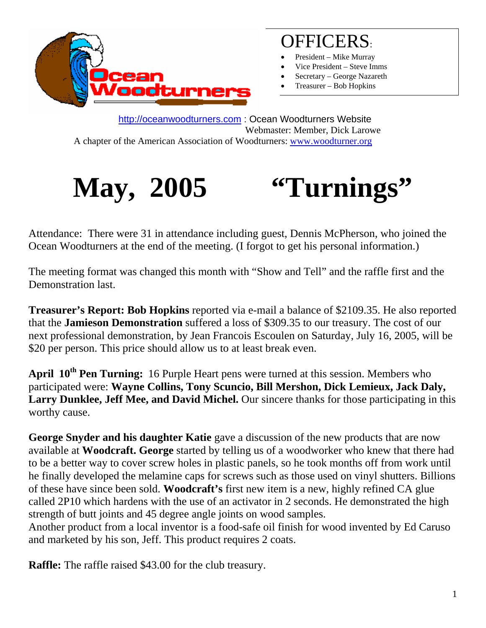

# OFFICERS:

- President Mike Murray
- Vice President Steve Imms
- Secretary George Nazareth
- Treasurer Bob Hopkins

http://oceanwoodturners.com : Ocean Woodturners Website Webmaster: Member, Dick Larowe A chapter of the American Association of Woodturners: www.woodturner.org



Attendance: There were 31 in attendance including guest, Dennis McPherson, who joined the Ocean Woodturners at the end of the meeting. (I forgot to get his personal information.)

The meeting format was changed this month with "Show and Tell" and the raffle first and the Demonstration last.

**Treasurer's Report: Bob Hopkins** reported via e-mail a balance of \$2109.35. He also reported that the **Jamieson Demonstration** suffered a loss of \$309.35 to our treasury. The cost of our next professional demonstration, by Jean Francois Escoulen on Saturday, July 16, 2005, will be \$20 per person. This price should allow us to at least break even.

**April 10th Pen Turning:** 16 Purple Heart pens were turned at this session. Members who participated were: **Wayne Collins, Tony Scuncio, Bill Mershon, Dick Lemieux, Jack Daly,**  Larry Dunklee, Jeff Mee, and David Michel. Our sincere thanks for those participating in this worthy cause.

George Snyder and his daughter Katie gave a discussion of the new products that are now available at **Woodcraft. George** started by telling us of a woodworker who knew that there had to be a better way to cover screw holes in plastic panels, so he took months off from work until he finally developed the melamine caps for screws such as those used on vinyl shutters. Billions of these have since been sold. **Woodcraft's** first new item is a new, highly refined CA glue called 2P10 which hardens with the use of an activator in 2 seconds. He demonstrated the high strength of butt joints and 45 degree angle joints on wood samples.

Another product from a local inventor is a food-safe oil finish for wood invented by Ed Caruso and marketed by his son, Jeff. This product requires 2 coats.

**Raffle:** The raffle raised \$43.00 for the club treasury.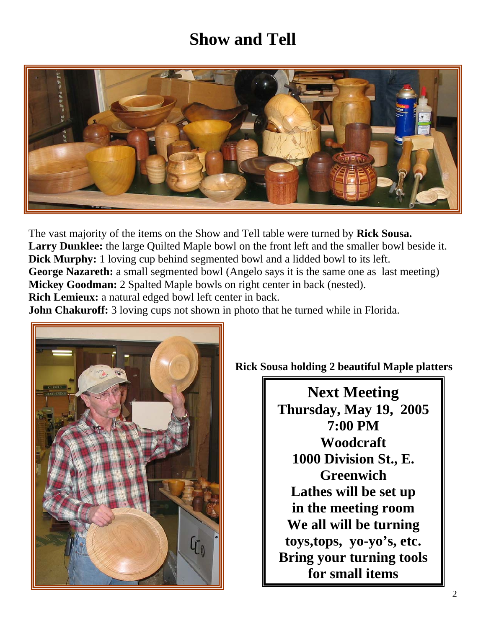## **Show and Tell**



The vast majority of the items on the Show and Tell table were turned by **Rick Sousa.**  Larry Dunklee: the large Quilted Maple bowl on the front left and the smaller bowl beside it. **Dick Murphy:** 1 loving cup behind segmented bowl and a lidded bowl to its left. George Nazareth: a small segmented bowl (Angelo says it is the same one as last meeting) **Mickey Goodman:** 2 Spalted Maple bowls on right center in back (nested). **Rich Lemieux:** a natural edged bowl left center in back.

**John Chakuroff:** 3 loving cups not shown in photo that he turned while in Florida.



### **Rick Sousa holding 2 beautiful Maple platters**

**Next Meeting Thursday, May 19, 2005 7:00 PM Woodcraft 1000 Division St., E. Greenwich Lathes will be set up in the meeting room We all will be turning toys,tops, yo-yo's, etc. Bring your turning tools for small items**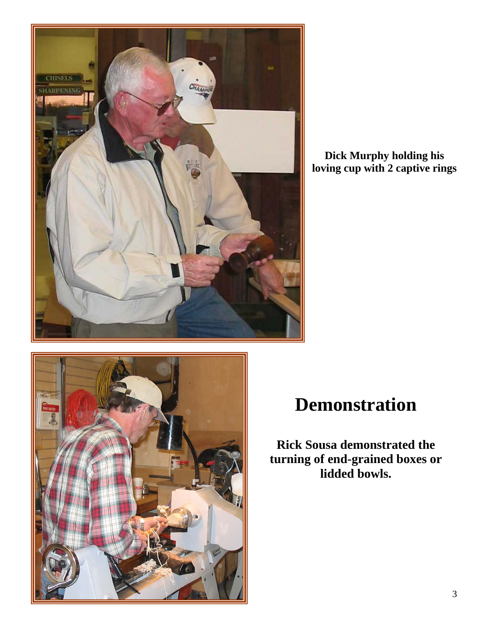

**Dick Murphy holding his loving cup with 2 captive rings** 



# **Demonstration**

**Rick Sousa demonstrated the turning of end-grained boxes or lidded bowls.**